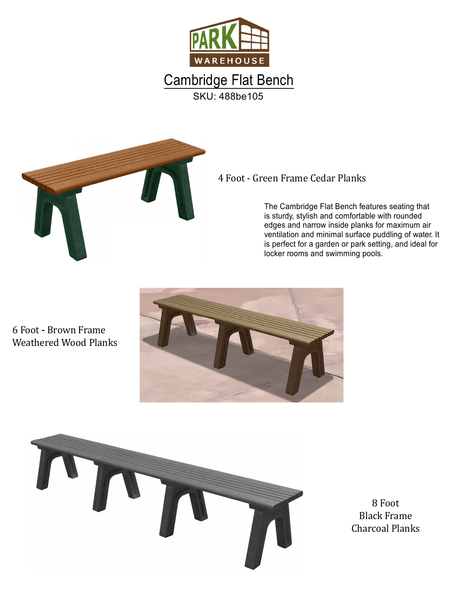



## 4 Foot - Green Frame Cedar Planks

The Cambridge Flat Bench features seating that is sturdy, stylish and comfortable with rounded edges and narrow inside planks for maximum air ventilation and minimal surface puddling of water. It is perfect for a garden or park setting, and ideal for locker rooms and swimming pools.

6 Foot **-** Brown Frame Weathered Wood Planks





**Black Frame** Charcoal Planks 8 Foot